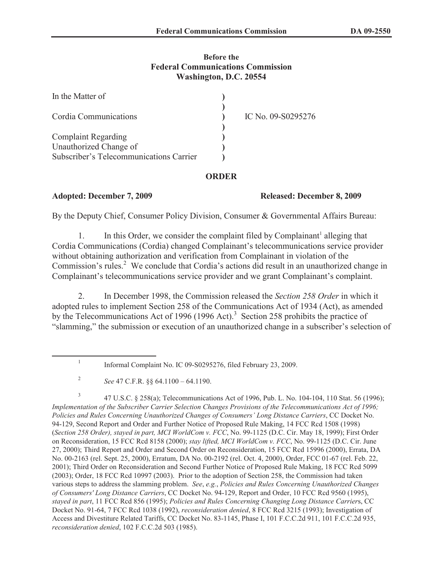## **Before the Federal Communications Commission Washington, D.C. 20554**

| In the Matter of                        |                    |
|-----------------------------------------|--------------------|
| Cordia Communications                   | IC No. 09-S0295276 |
|                                         |                    |
| <b>Complaint Regarding</b>              |                    |
| Unauthorized Change of                  |                    |
| Subscriber's Telecommunications Carrier |                    |

## **ORDER**

## **Adopted: December 7, 2009 Released: December 8, 2009**

By the Deputy Chief, Consumer Policy Division, Consumer & Governmental Affairs Bureau:

1. In this Order, we consider the complaint filed by Complainant<sup>1</sup> alleging that Cordia Communications (Cordia) changed Complainant's telecommunications service provider without obtaining authorization and verification from Complainant in violation of the Commission's rules.<sup>2</sup> We conclude that Cordia's actions did result in an unauthorized change in Complainant's telecommunications service provider and we grant Complainant's complaint.

2. In December 1998, the Commission released the *Section 258 Order* in which it adopted rules to implement Section 258 of the Communications Act of 1934 (Act), as amended by the Telecommunications Act of 1996 (1996 Act).<sup>3</sup> Section 258 prohibits the practice of "slamming," the submission or execution of an unauthorized change in a subscriber's selection of

3 47 U.S.C. § 258(a); Telecommunications Act of 1996, Pub. L. No. 104-104, 110 Stat. 56 (1996); *Implementation of the Subscriber Carrier Selection Changes Provisions of the Telecommunications Act of 1996; Policies and Rules Concerning Unauthorized Changes of Consumers' Long Distance Carriers*, CC Docket No. 94-129, Second Report and Order and Further Notice of Proposed Rule Making, 14 FCC Rcd 1508 (1998) (*Section 258 Order), stayed in part, MCI WorldCom v. FCC*, No. 99-1125 (D.C. Cir. May 18, 1999); First Order on Reconsideration, 15 FCC Rcd 8158 (2000); *stay lifted, MCI WorldCom v. FCC*, No. 99-1125 (D.C. Cir. June 27, 2000); Third Report and Order and Second Order on Reconsideration, 15 FCC Rcd 15996 (2000), Errata, DA No. 00-2163 (rel. Sept. 25, 2000), Erratum, DA No. 00-2192 (rel. Oct. 4, 2000), Order, FCC 01-67 (rel. Feb. 22, 2001); Third Order on Reconsideration and Second Further Notice of Proposed Rule Making, 18 FCC Rcd 5099 (2003); Order, 18 FCC Rcd 10997 (2003). Prior to the adoption of Section 258, the Commission had taken various steps to address the slamming problem. *See*, *e.g.*, *Policies and Rules Concerning Unauthorized Changes of Consumers' Long Distance Carriers*, CC Docket No. 94-129, Report and Order, 10 FCC Rcd 9560 (1995), *stayed in part*, 11 FCC Rcd 856 (1995); *Policies and Rules Concerning Changing Long Distance Carrier*s, CC Docket No. 91-64, 7 FCC Rcd 1038 (1992), *reconsideration denied*, 8 FCC Rcd 3215 (1993); Investigation of Access and Divestiture Related Tariffs, CC Docket No. 83-1145, Phase I, 101 F.C.C.2d 911, 101 F.C.C.2d 935, *reconsideration denied*, 102 F.C.C.2d 503 (1985).

<sup>1</sup> Informal Complaint No. IC 09-S0295276, filed February 23, 2009.

<sup>2</sup> *See* 47 C.F.R. §§ 64.1100 – 64.1190.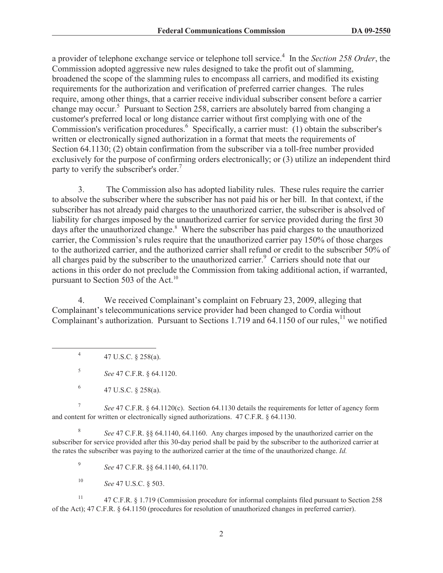a provider of telephone exchange service or telephone toll service.<sup>4</sup> In the *Section 258 Order*, the Commission adopted aggressive new rules designed to take the profit out of slamming, broadened the scope of the slamming rules to encompass all carriers, and modified its existing requirements for the authorization and verification of preferred carrier changes. The rules require, among other things, that a carrier receive individual subscriber consent before a carrier change may occur.<sup>5</sup> Pursuant to Section 258, carriers are absolutely barred from changing a customer's preferred local or long distance carrier without first complying with one of the Commission's verification procedures.<sup>6</sup> Specifically, a carrier must: (1) obtain the subscriber's written or electronically signed authorization in a format that meets the requirements of Section 64.1130; (2) obtain confirmation from the subscriber via a toll-free number provided exclusively for the purpose of confirming orders electronically; or (3) utilize an independent third party to verify the subscriber's order.<sup>7</sup>

3. The Commission also has adopted liability rules. These rules require the carrier to absolve the subscriber where the subscriber has not paid his or her bill. In that context, if the subscriber has not already paid charges to the unauthorized carrier, the subscriber is absolved of liability for charges imposed by the unauthorized carrier for service provided during the first 30 days after the unauthorized change.<sup>8</sup> Where the subscriber has paid charges to the unauthorized carrier, the Commission's rules require that the unauthorized carrier pay 150% of those charges to the authorized carrier, and the authorized carrier shall refund or credit to the subscriber 50% of all charges paid by the subscriber to the unauthorized carrier.<sup>9</sup> Carriers should note that our actions in this order do not preclude the Commission from taking additional action, if warranted, pursuant to Section 503 of the Act.<sup>10</sup>

4. We received Complainant's complaint on February 23, 2009, alleging that Complainant's telecommunications service provider had been changed to Cordia without Complainant's authorization. Pursuant to Sections 1.719 and 64.1150 of our rules,<sup>11</sup> we notified

4 47 U.S.C. § 258(a).

5 *See* 47 C.F.R. § 64.1120.

7 *See* 47 C.F.R. § 64.1120(c). Section 64.1130 details the requirements for letter of agency form and content for written or electronically signed authorizations. 47 C.F.R. § 64.1130.

8 *See* 47 C.F.R. §§ 64.1140, 64.1160. Any charges imposed by the unauthorized carrier on the subscriber for service provided after this 30-day period shall be paid by the subscriber to the authorized carrier at the rates the subscriber was paying to the authorized carrier at the time of the unauthorized change. *Id.*

9 *See* 47 C.F.R. §§ 64.1140, 64.1170.

<sup>10</sup> *See* 47 U.S.C. § 503.

<sup>11</sup> 47 C.F.R. § 1.719 (Commission procedure for informal complaints filed pursuant to Section 258 of the Act); 47 C.F.R. § 64.1150 (procedures for resolution of unauthorized changes in preferred carrier).

<sup>6</sup> 47 U.S.C. § 258(a).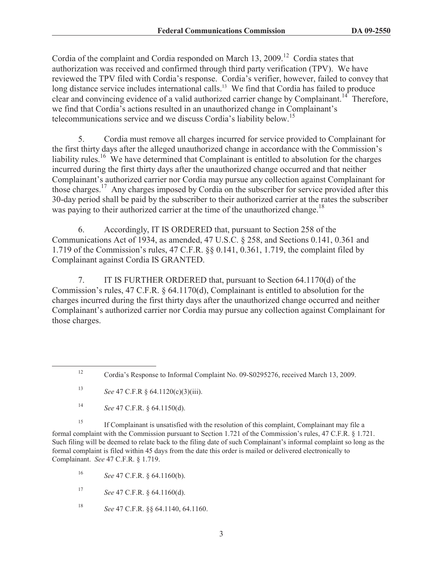Cordia of the complaint and Cordia responded on March 13, 2009.<sup>12</sup> Cordia states that authorization was received and confirmed through third party verification (TPV). We have reviewed the TPV filed with Cordia's response. Cordia's verifier, however, failed to convey that long distance service includes international calls.<sup>13</sup> We find that Cordia has failed to produce clear and convincing evidence of a valid authorized carrier change by Complainant.<sup>14</sup> Therefore, we find that Cordia's actions resulted in an unauthorized change in Complainant's telecommunications service and we discuss Cordia's liability below.<sup>15</sup>

5. Cordia must remove all charges incurred for service provided to Complainant for the first thirty days after the alleged unauthorized change in accordance with the Commission's liability rules.<sup>16</sup> We have determined that Complainant is entitled to absolution for the charges incurred during the first thirty days after the unauthorized change occurred and that neither Complainant's authorized carrier nor Cordia may pursue any collection against Complainant for those charges.<sup>17</sup> Any charges imposed by Cordia on the subscriber for service provided after this 30-day period shall be paid by the subscriber to their authorized carrier at the rates the subscriber was paying to their authorized carrier at the time of the unauthorized change.<sup>18</sup>

6. Accordingly, IT IS ORDERED that, pursuant to Section 258 of the Communications Act of 1934, as amended, 47 U.S.C. § 258, and Sections 0.141, 0.361 and 1.719 of the Commission's rules, 47 C.F.R. §§ 0.141, 0.361, 1.719, the complaint filed by Complainant against Cordia IS GRANTED.

7. IT IS FURTHER ORDERED that, pursuant to Section 64.1170(d) of the Commission's rules, 47 C.F.R. § 64.1170(d), Complainant is entitled to absolution for the charges incurred during the first thirty days after the unauthorized change occurred and neither Complainant's authorized carrier nor Cordia may pursue any collection against Complainant for those charges.

<sup>15</sup> If Complainant is unsatisfied with the resolution of this complaint, Complainant may file a formal complaint with the Commission pursuant to Section 1.721 of the Commission's rules, 47 C.F.R. § 1.721. Such filing will be deemed to relate back to the filing date of such Complainant's informal complaint so long as the formal complaint is filed within 45 days from the date this order is mailed or delivered electronically to Complainant. *See* 47 C.F.R. § 1.719.

<sup>16</sup> *See* 47 C.F.R. § 64.1160(b).

<sup>17</sup> *See* 47 C.F.R. § 64.1160(d).

<sup>18</sup> *See* 47 C.F.R. §§ 64.1140, 64.1160.

<sup>12</sup> Cordia's Response to Informal Complaint No. 09-S0295276, received March 13, 2009.

<sup>13</sup> *See* 47 C.F.R § 64.1120(c)(3)(iii).

<sup>14</sup> *See* 47 C.F.R. § 64.1150(d).